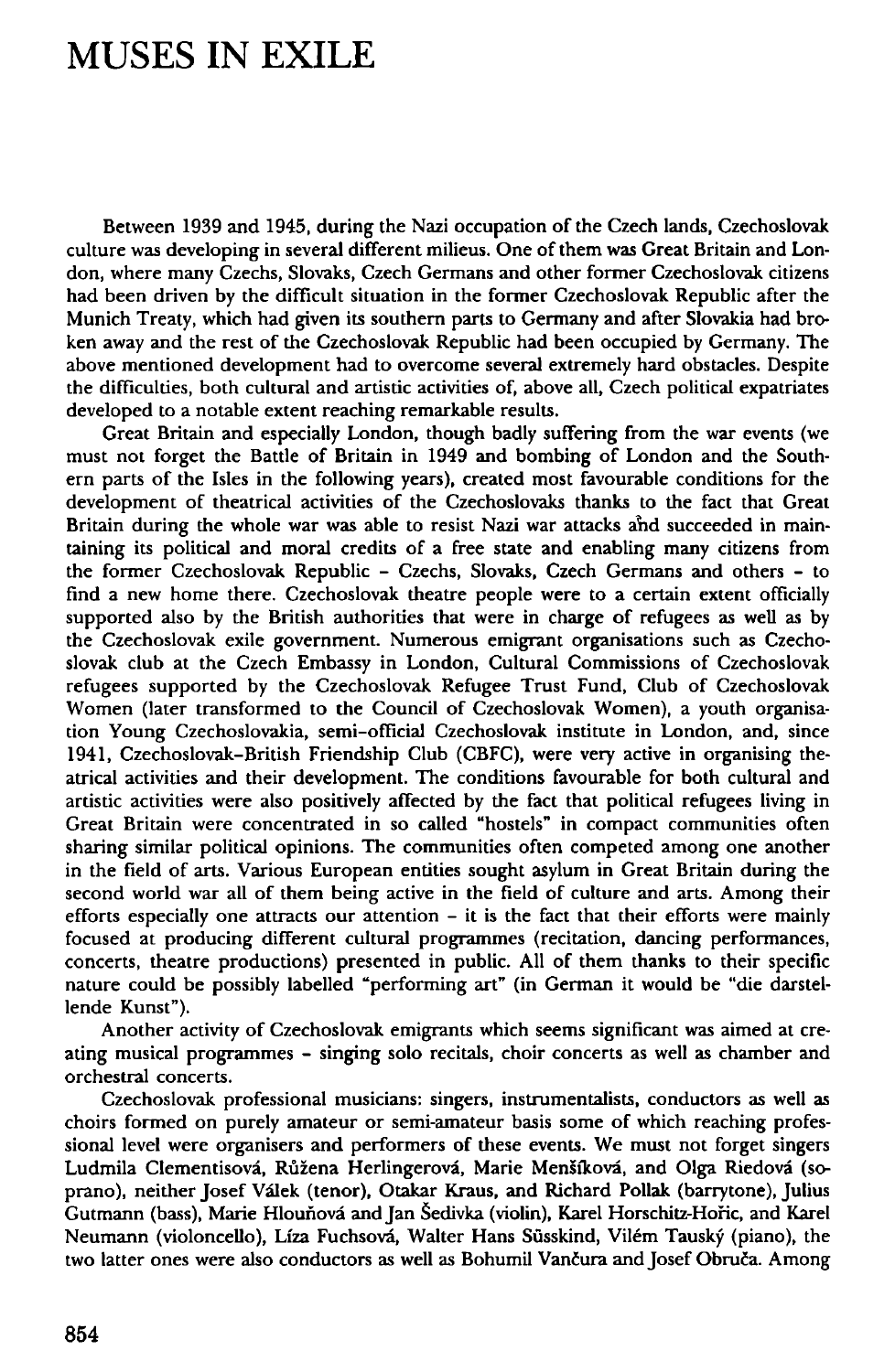## **MUSES IN EXILE**

Between 1939 and 1945, during the Nazi occupation of the Czech lands, Czechoslovak culture was developing in several different milieus. One of them was Great Britain and London, where many Czechs, Slovaks, Czech Germans and other former Czechoslovak citizens had been driven by the difficult situation in the former Czechoslovak Republic after the Munich Treaty, which had given its southern parts to Germany and after Slovakia had broken away and the rest of the Czechoslovak Republic had been occupied by Germany. The above mentioned development had to overcome several extremely hard obstacles. Despite the difficulties, both cultural and artistic activities of, above all, Czech political expatriates developed to a notable extent reaching remarkable results.

Great Britain and especially London, though badly suffering from the war events (we must not forget the Battle of Britain in 1949 and bombing of London and the Southern parts of the Isles in the following years), created most favourable conditions for the development of theatrical activities of the Czechoslovaks thanks to the fact that Great Britain during the whole war was able to resist Nazi war attacks and succeeded in maintaining its political and moral credits of a free state and enabling many citizens from the former Czechoslovak Republic - Czechs, Slovaks, Czech Germans and others - to find a new home there. Czechoslovak theatre people were to a certain extent officially supported also by the British authorities that were in charge of refugees as well as by the Czechoslovak exile government. Numerous emigrant organisations such as Czechoslovak club at the Czech Embassy in London, Cultural Commissions of Czechoslovak refugees supported by the Czechoslovak Refugee Trust Fund, Club of Czechoslovak Women (later transformed to the Council of Czechoslovak Women), a youth organisation Young Czechoslovakia, semi-official Czechoslovak institute in London, and, since 1941, Czechoslovak-British Friendship Club (CBFC), were very active in organising theatrical activities and their development. The conditions favourable for both cultural and artistic activities were also positively affected by the fact that political refugees living in Great Britain were concentrated in so called "hostels" in compact communities often sharing similar political opinions. The communities often competed among one another in the field of arts. Various European entities sought asylum in Great Britain during the second world war all of them being active in the field of culture and arts. Among their efforts especially one attracts our attention - it is the fact that their efforts were mainly focused at producing different cultural programmes (recitation, dancing performances, concerts, theatre productions) presented in public. All of them thanks to their specific nature could be possibly labelled "performing art" (in German it would be "die darstellende Kunst").

Another activity of Czechoslovak emigrants which seems significant was aimed at creating musical programmes - singing solo recitals, choir concerts as well as chamber and orchestral concerts.

Czechoslovak professional musicians: singers, instrumentalists, conductors as well as choirs formed on purely amateur or semi-amateur basis some of which reaching professional level were organisers and performers of these events. We must not forget singers Ludmila Clementisová, Růžena Herlingerová, Marie Menšíková, and Olga Riedová (soprano), neither Josef Valek (tenor), Otakar Kraus, and Richard Pollak (barrytone), Julius Gutmann (bass), Marie Hlounovi and Jan Sedivka (violin), Karel Horschitz-Horic, and Karel Neumann (violoncello), Líza Fuchsová, Walter Hans Süsskind, Vilém Tauský (piano), the two latter ones were also conductors as well as Bohumil Vančura and Josef Obruča. Among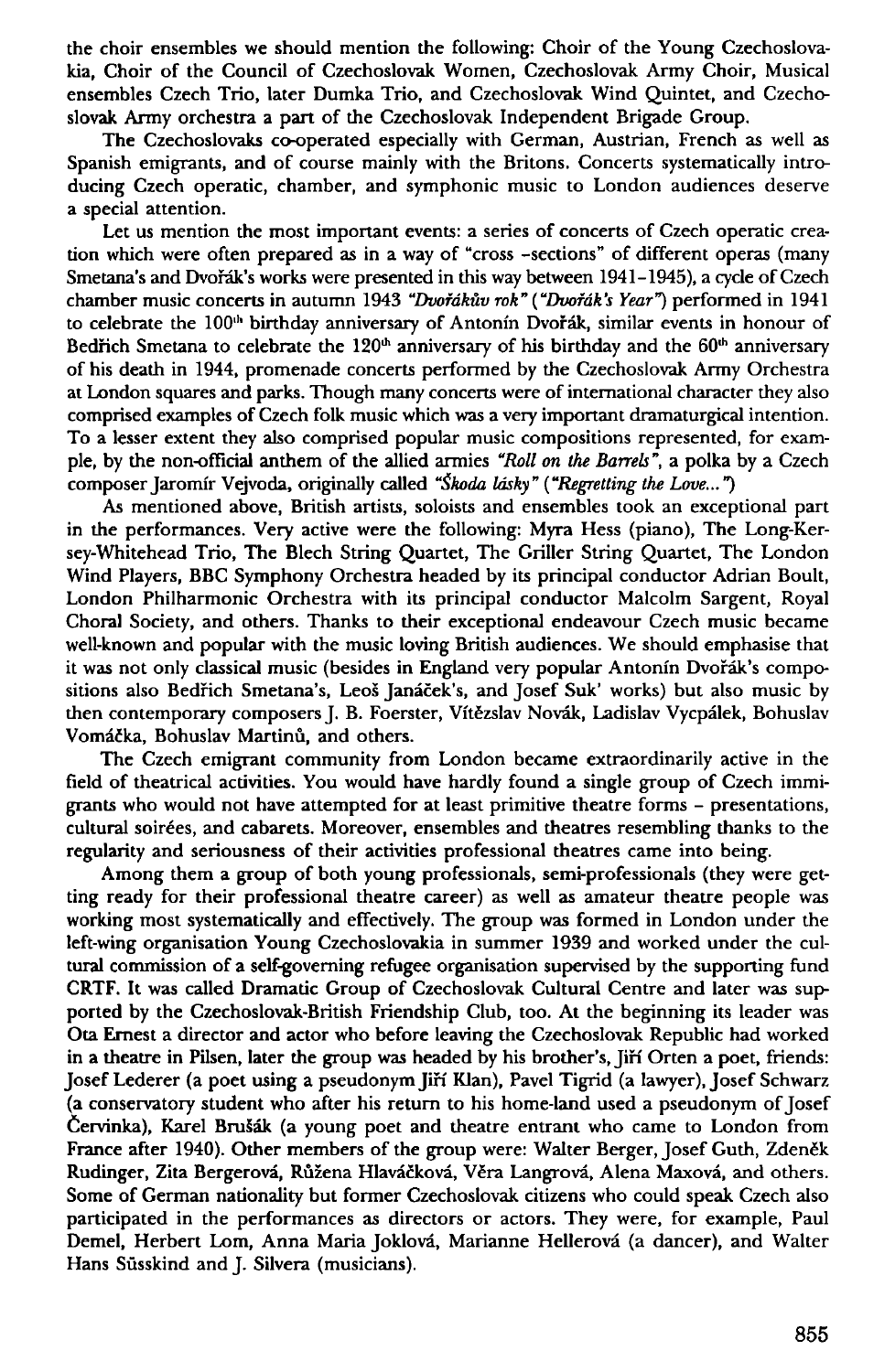the choir ensembles we should mention the following: Choir of the Young Czechoslovakia, Choir of the Council of Czechoslovak Women, Czechoslovak Army Choir, Musical ensembles Czech Trio, later Dumka Trio, and Czechoslovak Wind Quintet, and Czechoslovak Army orchestra a part of the Czechoslovak Independent Brigade Group.

The Czechoslovaks co-operated especially with German, Austrian, French as well as Spanish emigrants, and of course mainly with the Britons. Concerts systematically introducing Czech operatic, chamber, and symphonic music to London audiences deserve a special attention.

Let us mention the most important events: a series of concerts of Czech operatic creation which were often prepared as in a way of "cross -sections" of different operas (many Smetana's and Dvořák's works were presented in this way between 1941-1945), a cycle of Czech chamber music concerts in autumn 1943 *"Dvofdkuv rok" ("Dvorak's Year")* performed in 1941 to celebrate the 100<sup>th</sup> birthday anniversary of Antonín Dvořák, similar events in honour of Bedřich Smetana to celebrate the  $120<sup>th</sup>$  anniversary of his birthday and the  $60<sup>th</sup>$  anniversary of his death in 1944, promenade concerts performed by the Czechoslovak Army Orchestra at London squares and parks. Though many concerts were of international character they also comprised examples of Czech folk music which was a very important dramaturgical intention. To a lesser extent they also comprised popular music compositions represented, for example, by the non-official anthem of the allied armies *"Roll on the Barrels",* a polka by a Czech composer Jaromir Vejvoda, originally called *"Skoda lasky" ("Regretting the Love...")* 

As mentioned above, British artists, soloists and ensembles took an exceptional part in the performances. Very active were the following: Myra Hess (piano), The Long-Kersey-Whitehead Trio, The Blech String Quartet, The Griller String Quartet, The London Wind Players, BBC Symphony Orchestra headed by its principal conductor Adrian Boult, London Philharmonic Orchestra with its principal conductor Malcolm Sargent, Royal Chora) Society, and others. Thanks to their exceptional endeavour Czech music became well-known and popular with the music loving British audiences. We should emphasise that it was not only classical music (besides in England very popular Antonín Dvořák's compositions also Bedfich Smetana's, Leos Janacek's, and Josef Suk' works) but also music by then contemporary composers J. B. Foerster, Vítězslav Novák, Ladislav Vycpálek, Bohuslav Vomáčka, Bohuslav Martinů, and others.

The Czech emigrant community from London became extraordinarily active in the field of theatrical activities. You would have hardly found a single group of Czech immigrants who would not have attempted for at least primitive theatre forms - presentations, cultural soirees, and cabarets. Moreover, ensembles and theatres resembling thanks to the regularity and seriousness of their activities professional theatres came into being.

Among them a group of both young professionals, semi-professionals (they were getting ready for their professional theatre career) as well as amateur theatre people was working most systematically and effectively. The group was formed in London under the left-wing organisation Young Czechoslovakia in summer 1939 and worked under the cultural commission of a self-governing refugee organisation supervised by the supporting fund CRTF. It was called Dramatic Group of Czechoslovak Cultural Centre and later was supported by the Czechoslovak-British Friendship Club, too. At the beginning its leader was Ota Ernest a director and actor who before leaving the Czechoslovak Republic had worked in a theatre in Pilsen, later the group was headed by his brother's, Jiří Orten a poet, friends: Josef Lederer (a poet using a pseudonym Jiff Klan), Pavel Tigrid (a lawyer), Josef Schwarz (a conservatory student who after his return to his home-land used a pseudonym of Josef Cervinka), Karel BruSak (a young poet and theatre entrant who came to London from France after 1940). Other members of the group were: Walter Berger, Josef Guth, Zdeněk Rudinger, Zita Bergerová, Růžena Hlaváčková, Věra Langrová, Alena Maxová, and others. Some of German nationality but former Czechoslovak citizens who could speak Czech also participated in the performances as directors or actors. They were, for example, Paul Demel, Herbert Lorn, Anna Maria Joklova, Marianne Hellerova (a dancer), and Walter Hans Süsskind and J. Silvera (musicians).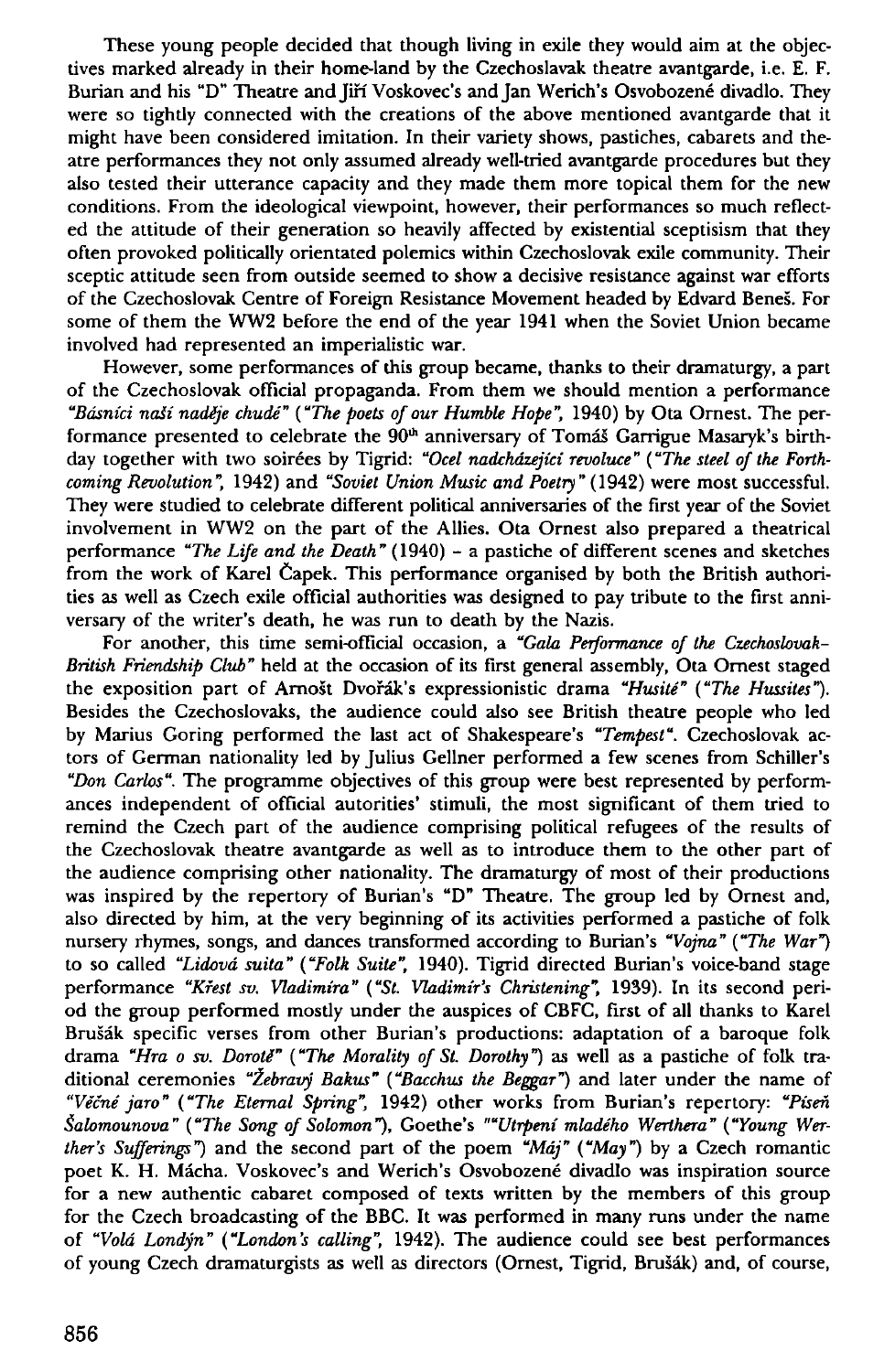These young people decided that though living in exile they would aim at the objectives marked already in their home-land by the Czechoslavak theatre avantgarde, i.e. E. F. Burian and his "D" Theatre and Jiří Voskovec's and Jan Werich's Osvobozené divadlo. They were so tightly connected with the creations of the above mentioned avantgarde that it might have been considered imitation. In their variety shows, pastiches, cabarets and theatre performances they not only assumed already well-tried avantgarde procedures but they also tested their utterance capacity and they made them more topical them for the new conditions. From the ideological viewpoint, however, their performances so much reflected the attitude of their generation so heavily affected by existential sceptisism that they often provoked politically orientated polemics within Czechoslovak exile community. Their sceptic attitude seen from outside seemed to show a decisive resistance against war efforts of the Czechoslovak Centre of Foreign Resistance Movement headed by Edvard Benes. For some of them the WW2 before the end of the year 1941 when the Soviet Union became involved had represented an imperialistic war.

However, some performances of this group became, thanks to their dramaturgy, a part of the Czechoslovak official propaganda. From them we should mention a performance *"Bdsnici naii nadije chude" ("The poets of our Humble Hope",* 1940) by Ota Ornest. The performance presented to celebrate the 90<sup>th</sup> anniversary of Tomáš Garrigue Masaryk's birthday together with two soirées by Tigrid: "Ocel nadcházející revoluce" ("The steel of the Forth*coming Revolution",* 1942) and *"Soviet Union Music and Poetry"* (1942) were most successful. They were studied to celebrate different political anniversaries of the first year of the Soviet involvement in WW2 on the part of the Allies. Ota Ornest also prepared a theatrical performance *"The Life and the Death"* (1940) - a pastiche of different scenes and sketches from the work of Karel Capek. This performance organised by both the British authorities as well as Czech exile official authorities was designed to pay tribute to the first anniversary of the writer's death, he was run to death by the Nazis.

For another, this time semi-official occasion, a *"Gala Performance of the Czechoslovak-British Friendship Club"* held at the occasion of its first general assembly, Ota Omest staged the exposition part of Arnošt Dvořák's expressionistic drama "Husité" ("The Hussites"). Besides the Czechoslovaks, the audience could also see British theatre people who led by Marius Goring performed the last act of Shakespeare's *"Tempest".* Czechoslovak actors of German nationality led by Julius Gellner performed a few scenes from Schiller's *"Don Carlos".* The programme objectives of this group were best represented by performances independent of official autorities' stimuli, the most significant of them tried to remind the Czech part of the audience comprising political refugees of the results of the Czechoslovak theatre avantgarde as well as to introduce them to the other part of the audience comprising other nationality. The dramaturgy of most of their productions was inspired by the repertory of Burian's "D" Theatre. The group led by Ornest and, also directed by him, at the very beginning of its activities performed a pastiche of folk nursery rhymes, songs, and dances transformed according to Burian's *"Vojna" ("The War")*  to so called *"Lidovd suita" ("Folk Suite",* 1940). Tigrid directed Burian's voice-band stage performance *"Kfest sv. Vladimira" ("St. Vladimir's Christening",* 1939). In its second period the group performed mostly under the auspices of CBFC, first of all thanks to Karel Brušák specific verses from other Burian's productions: adaptation of a baroque folk drama *"Hra o sv. Doroti" ("The Morality of St. Dorothy*") as well as a pastiche of folk traditional ceremonies "Žebravý Bakus" ("Bacchus the Beggar") and later under the name of *"Vecne jaro" ("The Eternal Spring",* 1942) other works from Burian's repertory: *"Pisen Salomounova " ("The Song of Solomon* "), Goethe's *""Utrpeni mladeho Werthera " ("Young Werther's Sufferings")* and the second part of the poem *"Mdj" ("May")* by a Czech romantic poet K. H. Macha. Voskovec's and Werich's Osvobozene divadlo was inspiration source for a new authentic cabaret composed of texts written by the members of this group for the Czech broadcasting of the BBC. It was performed in many runs under the name of *"Void Londyn" ("London's calling",* 1942). The audience could see best performances of young Czech dramaturgists as well as directors (Ornest, Tigrid, Brušák) and, of course,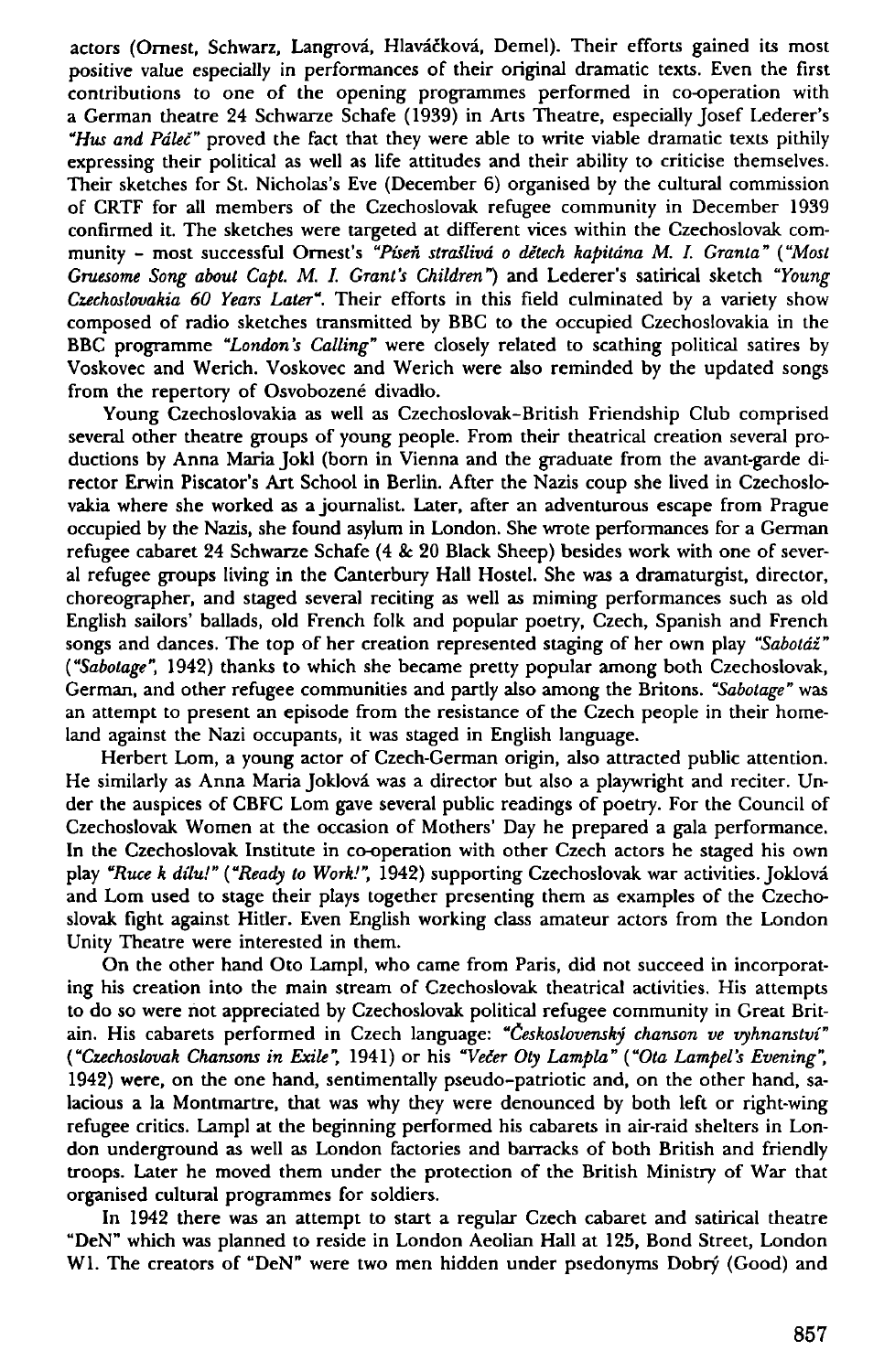actors (Ornest, Schwarz, Langrová, Hlaváčková, Demel). Their efforts gained its most positive value especially in performances of their original dramatic texts. Even the first contributions to one of the opening programmes performed in co-operation with a German theatre 24 Schwarze Schafe (1939) in Arts Theatre, especially Josef Lederer's *"Hus and Pdlec"* proved the fact that they were able to write viable dramatic texts pithily expressing their political as well as life attitudes and their ability to criticise themselves. Their sketches for St. Nicholas's Eve (December 6) organised by the cultural commission of CRTF for all members of the Czechoslovak refugee community in December 1939 confirmed it. The sketches were targeted at different vices within the Czechoslovak community - most successful Omest's *"Piseh strailivd o detech kapitdna M. I. Granta" ("Most Gruesome Song about Capt. M. I. Grant's Children")* and Lederer's satirical sketch *"Young Czechoslovakia 60 Years Later".* Their efforts in this field culminated by a variety show composed of radio sketches transmitted by BBC to the occupied Czechoslovakia in the BBC programme *"London's Calling"* were closely related to scathing political satires by Voskovec and Werich. Voskovec and Werich were also reminded by the updated songs from the repertory of Osvobozené divadlo.

Young Czechoslovakia as well as Czechoslovak-British Friendship Club comprised several other theatre groups of young people. From their theatrical creation several productions by Anna Maria Jokl (born in Vienna and the graduate from the avant-garde director Erwin Piscator's Art School in Berlin. After the Nazis coup she lived in Czechoslovakia where she worked as a journalist. Later, after an adventurous escape from Prague occupied by the Nazis, she found asylum in London. She wrote performances for a German refugee cabaret 24 Schwarze Schafe (4 & 20 Black Sheep) besides work with one of several refugee groups living in the Canterbury Hall Hostel. She was a dramaturgist, director, choreographer, and staged several reciting as well as miming performances such as old English sailors' ballads, old French folk and popular poetry, Czech, Spanish and French songs and dances. The top of her creation represented staging of her own play *"Saboldz" ("Sabotage",* 1942) thanks to which she became pretty popular among both Czechoslovak, German, and other refugee communities and partly also among the Britons. *"Sabotage"* was an attempt to present an episode from the resistance of the Czech people in their homeland against the Nazi occupants, it was staged in English language.

Herbert Lom, a young actor of Czech-German origin, also attracted public attention. He similarly as Anna Maria Joklová was a director but also a playwright and reciter. Under the auspices of CBFC Lorn gave several public readings of poetry. For the Council of Czechoslovak Women at the occasion of Mothers' Day he prepared a gala performance. In the Czechoslovak Institute in co-operation with other Czech actors he staged his own play *"Ruce k dilu!" ("Ready to Work!",* 1942) supporting Czechoslovak war activities. Joklova and Lorn used to stage their plays together presenting them as examples of the Czechoslovak fight against Hitler. Even English working class amateur actors from the London Unity Theatre were interested in them.

On the other hand Oto Lampl, who came from Paris, did not succeed in incorporating his creation into the main stream of Czechoslovak theatrical activities. His attempts to do so were not appreciated by Czechoslovak political refugee community in Great Britain. His cabarets performed in Czech language: *"Ceskoslovensky chanson ve vyhnanstvi" ("Czechoslovak Chansons in Exile",* 1941) or his *"Veler Oty Lampla" ("Ota Lampel's Evening",*  1942) were, on the one hand, sentimentally pseudo-patriotic and, on the other hand, salacious a la Montmartre, that was why they were denounced by both left or right-wing refugee critics. Lampl at the beginning performed his cabarets in air-raid shelters in London underground as well as London factories and barracks of both British and friendly troops. Later he moved them under the protection of the British Ministry of War that organised cultural programmes for soldiers.

In 1942 there was an attempt to start a regular Czech cabaret and satirical theatre "DeN" which was planned to reside in London Aeolian Hall at 125, Bond Street, London W1. The creators of "DeN" were two men hidden under psedonyms Dobrý (Good) and